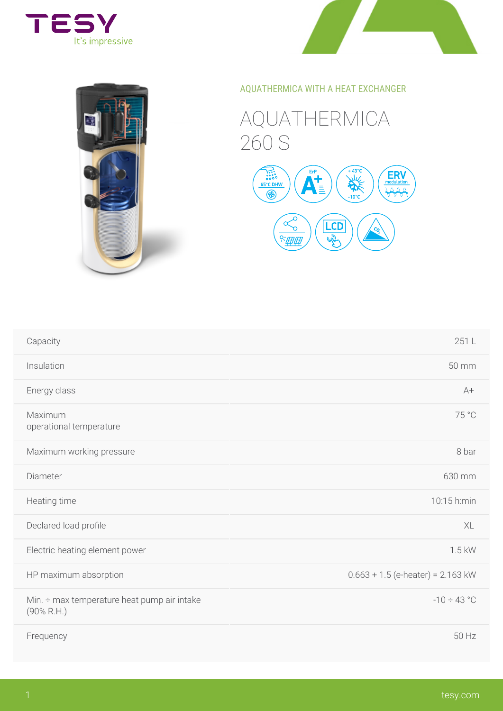

## AQUATHERMICA WITH A HEAT EXCHAN

## AQUATHERMICA 260 S



| Capacity                                                          | 251L                       |
|-------------------------------------------------------------------|----------------------------|
| Insulation                                                        | 50 mm                      |
| Energy class                                                      | $A +$                      |
| Maximum<br>operational temperature                                | 75 °C                      |
| Maximum working pressure                                          | 8 bar                      |
| Diameter                                                          | 630 mm                     |
| Heating time                                                      | 10:15 h:mir                |
| Declared load proûle                                              | XL                         |
| Electric heating element power                                    | 1.5 kW                     |
| HP maximum absorption                                             | $0.663 + 1.5$ (e-heater) = |
| Min. $\div$ max temperature heat pump air intake<br>$(90\%$ R.H.) | $-10 \div 43$ °            |
| Frequency                                                         | 50 Hz                      |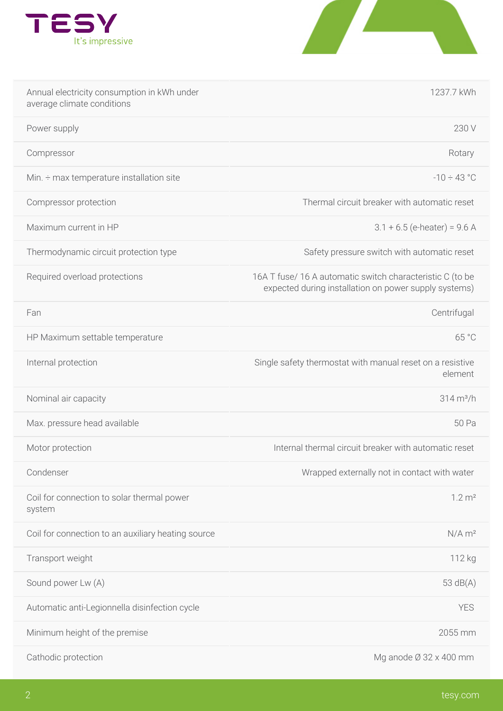

| Annual electricity consumption in kWh under<br>average climate conditions |                                         | 1237.7 kWh                            |
|---------------------------------------------------------------------------|-----------------------------------------|---------------------------------------|
| Power supply                                                              |                                         | 230 V                                 |
| Compressor                                                                |                                         | Rotary                                |
| Min. $\div$ max temperature installation site                             |                                         | $-10 \div 43$ °                       |
| Compressor protection                                                     |                                         | Thermal circuit breaker with au       |
| Maximum current in HP                                                     |                                         | $3.1 + 6.5$ (e-heater)                |
| Thermodynamic circuit protection type                                     |                                         | Safety pressure switch with aut       |
| Required overload protections                                             | 16A T fuse/16 A automatic switch char   | expected during installation on power |
| Fan                                                                       |                                         | Centrifugal                           |
| HP Maximum settable temperature                                           |                                         | 65 °C                                 |
| Internal protection                                                       | Single safety thermostat with manual re | element                               |
| Nominal air capacity                                                      |                                         | $314 \text{ m}^3/h$                   |
| Max. pressure head available                                              |                                         | 50 Pa                                 |
| Motor protection                                                          |                                         | Internal thermal circuit breaker with |
| Condenser                                                                 |                                         | Wrapped externally not in conta       |
| Coil for connection to solar thermal power<br>system                      |                                         | 1.2 m <sup>2</sup>                    |
| Coil for connection to an auxiliary heating source                        |                                         | $N/A$ m <sup>2</sup>                  |
| Transport weight                                                          |                                         | 112 kg                                |
| Sound power Lw (A)                                                        |                                         | $53 \text{ dB}(A)$                    |
| Automatic anti-Legionnella disinfection cycle                             |                                         | YES                                   |
| Minimum height of the premise                                             |                                         | 2055 mm                               |
| Cathodic protection                                                       |                                         | Mg anode $\varnothing$ 32 x 400       |